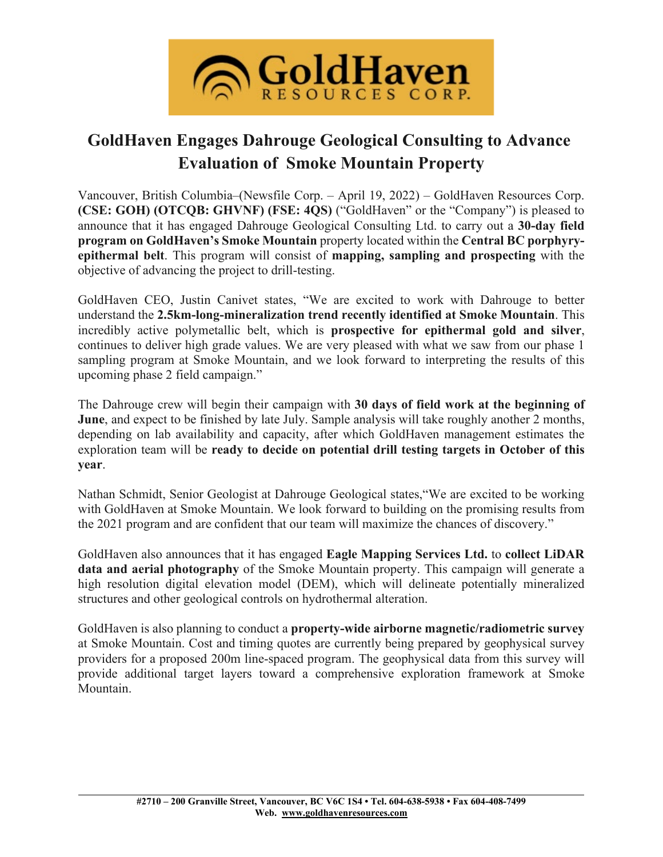

# **GoldHaven Engages Dahrouge Geological Consulting to Advance Evaluation of Smoke Mountain Property**

Vancouver, British Columbia–(Newsfile Corp. – April 19, 2022) – GoldHaven Resources Corp. **(CSE: GOH) (OTCQB: GHVNF) (FSE: 4QS)** ("GoldHaven" or the "Company") is pleased to announce that it has engaged Dahrouge Geological Consulting Ltd. to carry out a **30-day field program on GoldHaven's Smoke Mountain** property located within the **Central BC porphyryepithermal belt**. This program will consist of **mapping, sampling and prospecting** with the objective of advancing the project to drill-testing.

GoldHaven CEO, Justin Canivet states, "We are excited to work with Dahrouge to better understand the **2.5km-long-mineralization trend recently identified at Smoke Mountain**. This incredibly active polymetallic belt, which is **prospective for epithermal gold and silver**, continues to deliver high grade values. We are very pleased with what we saw from our phase 1 sampling program at Smoke Mountain, and we look forward to interpreting the results of this upcoming phase 2 field campaign."

The Dahrouge crew will begin their campaign with **30 days of field work at the beginning of June**, and expect to be finished by late July. Sample analysis will take roughly another 2 months, depending on lab availability and capacity, after which GoldHaven management estimates the exploration team will be **ready to decide on potential drill testing targets in October of this year**.

Nathan Schmidt, Senior Geologist at Dahrouge Geological states,"We are excited to be working with GoldHaven at Smoke Mountain. We look forward to building on the promising results from the 2021 program and are confident that our team will maximize the chances of discovery.""

GoldHaven also announces that it has engaged **Eagle Mapping Services Ltd.** to **collect LiDAR data and aerial photography** of the Smoke Mountain property. This campaign will generate a high resolution digital elevation model (DEM), which will delineate potentially mineralized structures and other geological controls on hydrothermal alteration.

GoldHaven is also planning to conduct a **property-wide airborne magnetic/radiometric survey** at Smoke Mountain. Cost and timing quotes are currently being prepared by geophysical survey providers for a proposed 200m line-spaced program. The geophysical data from this survey will provide additional target layers toward a comprehensive exploration framework at Smoke Mountain.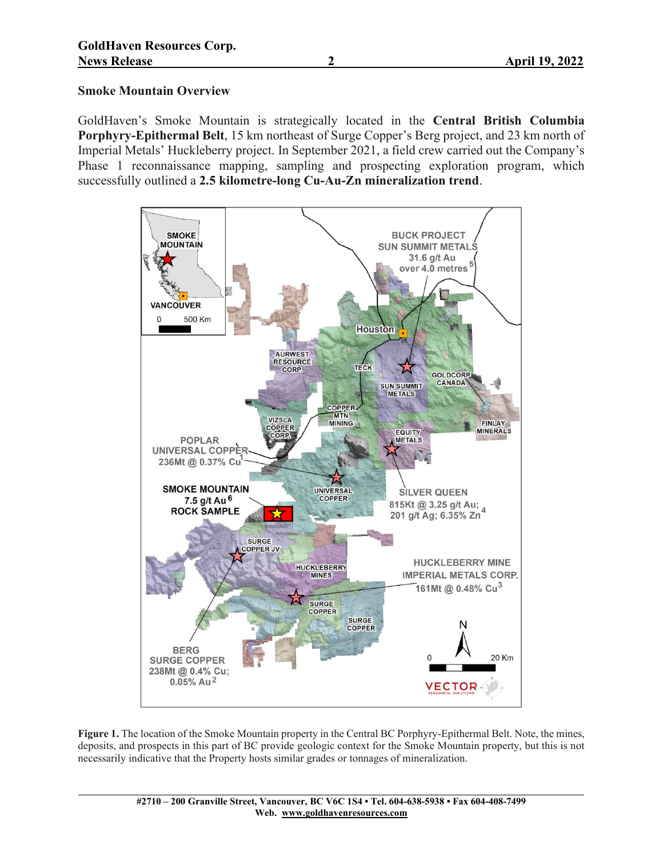## **Smoke Mountain Overview**

GoldHaven's Smoke Mountain is strategically located in the **Central British Columbia Porphyry-Epithermal Belt**, 15 km northeast of Surge Copper's Berg project, and 23 km north of Imperial Metals' Huckleberry project. In September 2021, a field crew carried out the Company's Phase 1 reconnaissance mapping, sampling and prospecting exploration program, which successfully outlined a **2.5 kilometre-long Cu-Au-Zn mineralization trend**.



**Figure 1.** The location of the Smoke Mountain property in the Central BC Porphyry-Epithermal Belt. Note, the mines, deposits, and prospects in this part of BC provide geologic context for the Smoke Mountain property, but this is not necessarily indicative that the Property hosts similar grades or tonnages of mineralization.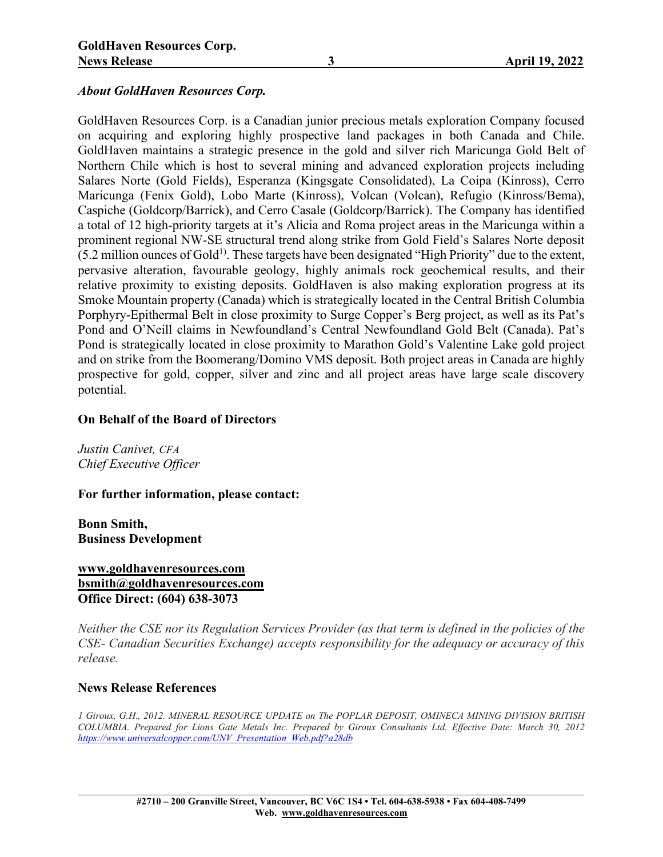### *About GoldHaven Resources Corp.*

GoldHaven Resources Corp. is a Canadian junior precious metals exploration Company focused on acquiring and exploring highly prospective land packages in both Canada and Chile. GoldHaven maintains a strategic presence in the gold and silver rich Maricunga Gold Belt of Northern Chile which is host to several mining and advanced exploration projects including Salares Norte (Gold Fields), Esperanza (Kingsgate Consolidated), La Coipa (Kinross), Cerro Maricunga (Fenix Gold), Lobo Marte (Kinross), Volcan (Volcan), Refugio (Kinross/Bema), Caspiche (Goldcorp/Barrick), and Cerro Casale (Goldcorp/Barrick). The Company has identified a total of 12 high-priority targets at it's Alicia and Roma project areas in the Maricunga within a prominent regional NW-SE structural trend along strike from Gold Field's Salares Norte deposit  $(5.2 \text{ million ounces of Gold}^{1})$ . These targets have been designated "High Priority" due to the extent, pervasive alteration, favourable geology, highly animals rock geochemical results, and their relative proximity to existing deposits. GoldHaven is also making exploration progress at its Smoke Mountain property (Canada) which is strategically located in the Central British Columbia Porphyry-Epithermal Belt in close proximity to Surge Copper's Berg project, as well as its Pat's Pond and O'Neill claims in Newfoundland's Central Newfoundland Gold Belt (Canada). Pat's Pond is strategically located in close proximity to Marathon Gold's Valentine Lake gold project and on strike from the Boomerang/Domino VMS deposit. Both project areas in Canada are highly prospective for gold, copper, silver and zinc and all project areas have large scale discovery potential.

### **On Behalf of the Board of Directors**

*Justin Canivet, CFA Chief Executive Officer*

#### **For further information, please contact:**

**Bonn Smith, Business Development**

**[www.goldhavenresources.com](http://www.goldhavenresources.com/) [bsmith@goldhavenresources.com](mailto:bsmith@goldhavenresources.com) Office Direct: (604) 638-3073**

Neither the CSE nor its Regulation Services Provider (as that term is defined in the policies of the *CSE- Canadian Securities Exchange) accepts responsibility for the adequacy or accuracy of this release.*

#### **News Release References**

*1 Giroux, G.H., 2012. MINERAL RESOURCE UPDATE on The POPLAR DEPOSIT, OMINECA MINING DIVISION BRITISH* COLUMBIA. Prepared for Lions Gate Metals Inc. Prepared by Giroux Consultants Ltd. Effective Date: March 30, 2012 *[https://www.universalcopper.com/UNV\\_Presentation\\_Web.pdf?a28db](https://www.universalcopper.com/UNV_Presentation_Web.pdf?a28db)*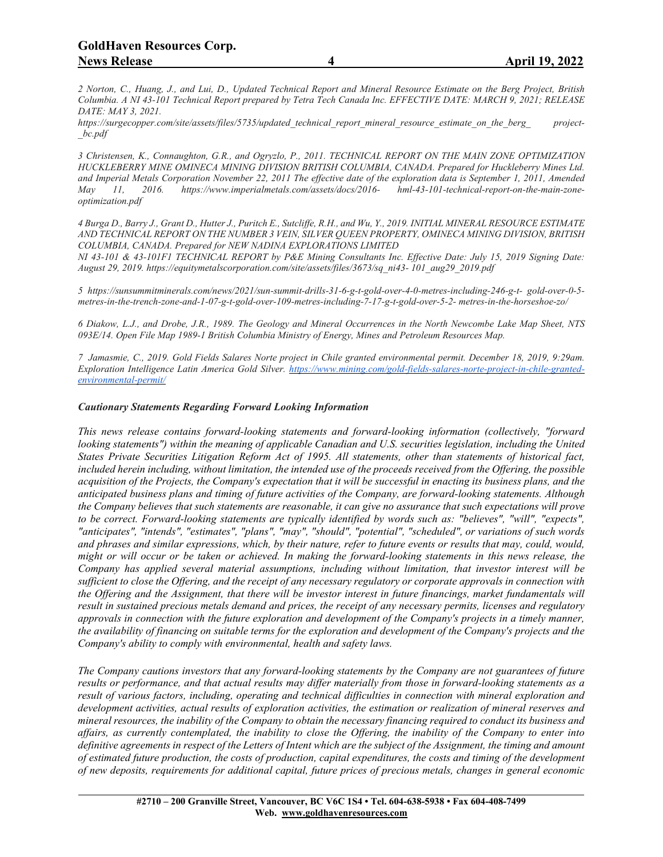2 Norton, C., Huang, J., and Lui, D., Updated Technical Report and Mineral Resource Estimate on the Berg Project, British Columbia. A NI 43-101 Technical Report prepared by Tetra Tech Canada Inc. EFFECTIVE DATE: MARCH 9, 2021; RELEASE *DATE: MAY 3, 2021.*

*https://surgecopper.com/site/assets/files/5735/updated\_technical\_report\_mineral\_resource\_estimate\_on\_the\_berg\_ project- \_bc.pdf*

*3 Christensen, K., Connaughton, G.R., and Ogryzlo, P., 2011. TECHNICAL REPORT ON THE MAIN ZONE OPTIMIZATION HUCKLEBERRY MINE OMINECA MINING DIVISION BRITISH COLUMBIA, CANADA. Prepared for Huckleberry Mines Ltd.* and Imperial Metals Corporation November 22, 2011 The effective date of the exploration data is September 1, 2011, Amended *May 11, 2016. https://www.imperialmetals.com/assets/docs/2016- hml-43-101-technical-report-on-the-main-zoneoptimization.pdf*

4 Burga D., Barry J., Grant D., Hutter J., Puritch E., Sutcliffe, R.H., and Wu, Y., 2019. INITIAL MINERAL RESOURCE ESTIMATE *AND TECHNICAL REPORT ON THE NUMBER 3 VEIN, SILVER QUEEN PROPERTY, OMINECA MINING DIVISION, BRITISH COLUMBIA, CANADA. Prepared for NEW NADINA EXPLORATIONS LIMITED*

NI 43-101 & 43-101F1 TECHNICAL REPORT by P&E Mining Consultants Inc. Effective Date: July 15, 2019 Signing Date: *August 29, 2019. https://equitymetalscorporation.com/site/assets/files/3673/sq\_ni43- 101\_aug29\_2019.pdf*

*5 https://sunsummitminerals.com/news/2021/sun-summit-drills-31-6-g-t-gold-over-4-0-metres-including-246-g-t- gold-over-0-5 metres-in-the-trench-zone-and-1-07-g-t-gold-over-109-metres-including-7-17-g-t-gold-over-5-2- metres-in-the-horseshoe-zo/*

6 Diakow, L.J., and Drobe, J.R., 1989. The Geology and Mineral Occurrences in the North Newcombe Lake Map Sheet, NTS *093E/14. Open File Map 1989-1 British Columbia Ministry of Energy, Mines and Petroleum Resources Map.*

7 Jamasmie, C., 2019. Gold Fields Salares Norte project in Chile granted environmental permit. December 18, 2019, 9:29am. *Exploration Intelligence Latin America Gold Silver. [https://www.mining.com/gold-fields-salares-norte-project-in-chile-granted](https://www.mining.com/gold-fields-salares-norte-project-in-chile-granted-environmental-permit/)[environmental-permit/](https://www.mining.com/gold-fields-salares-norte-project-in-chile-granted-environmental-permit/)*

#### *Cautionary Statements Regarding Forward Looking Information*

*This news release contains forward-looking statements and forward-looking information (collectively, "forward looking statements") within the meaning of applicable Canadian and U.S. securities legislation, including the United* States Private Securities Litigation Reform Act of 1995. All statements, other than statements of historical fact, included herein including, without limitation, the intended use of the proceeds received from the Offering, the possible acquisition of the Projects, the Company's expectation that it will be successful in enacting its business plans, and the *anticipated business plans and timing of future activities of the Company, are forward-looking statements. Although* the Company believes that such statements are reasonable, it can give no assurance that such expectations will prove *to be correct. Forward-looking statements are typically identified by words such as: "believes", "will", "expects", "anticipates", "intends", "estimates", "plans", "may", "should", "potential", "scheduled", or variations of such words* and phrases and similar expressions, which, by their nature, refer to future events or results that may, could, would, might or will occur or be taken or achieved. In making the forward-looking statements in this news release, the *Company has applied several material assumptions, including without limitation, that investor interest will be* sufficient to close the Offering, and the receipt of any necessary regulatory or corporate approvals in connection with the Offering and the Assignment, that there will be investor interest in future financings, market fundamentals will result in sustained precious metals demand and prices, the receipt of any necessary permits, licenses and regulatory approvals in connection with the future exploration and development of the Company's projects in a timely manner, the availability of financing on suitable terms for the exploration and development of the Company's projects and the *Company's ability to comply with environmental, health and safety laws.*

*The Company cautions investors that any forward-looking statements by the Company are not guarantees of future* results or performance, and that actual results may differ materially from those in forward-looking statements as a *result of various factors, including, operating and technical difficulties in connection with mineral exploration and development activities, actual results of exploration activities, the estimation or realization of mineral reserves and* mineral resources, the inability of the Company to obtain the necessary financing required to conduct its business and affairs, as currently contemplated, the inability to close the Offering, the inability of the Company to enter into definitive agreements in respect of the Letters of Intent which are the subject of the Assignment, the timing and amount of estimated future production, the costs of production, capital expenditures, the costs and timing of the development of new deposits, requirements for additional capital, future prices of precious metals, changes in general economic